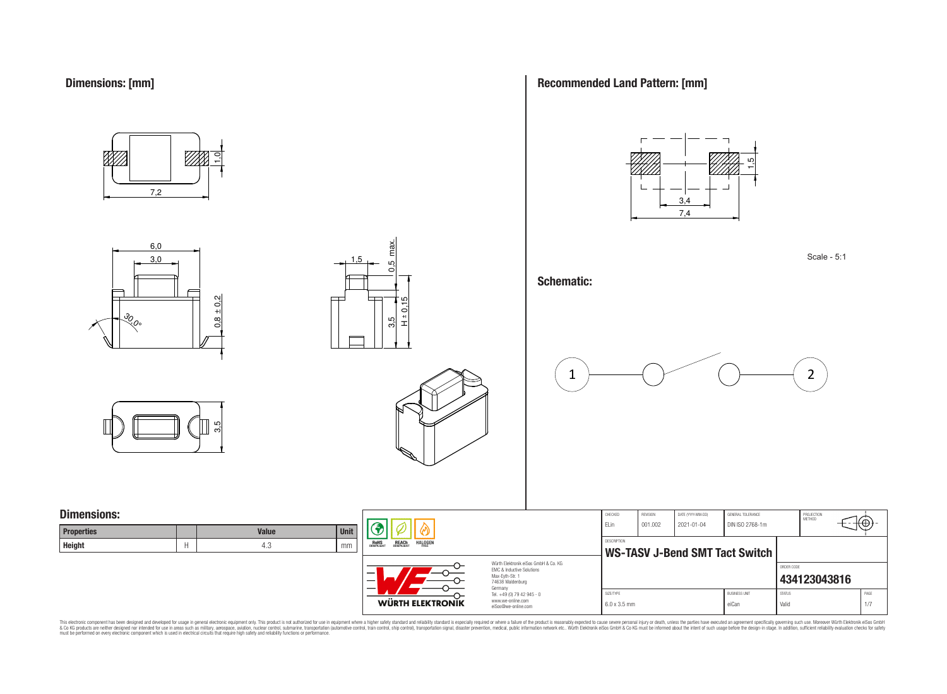

6,0 3,0

<u>રુ</u><br>રુ







#### **Schematic:**







## **Dimensions:**

| <b>Properties</b> | <b>Value</b> | <b>Unit</b> |
|-------------------|--------------|-------------|
| <b>Height</b>     | 4.0          | mm          |

 $0.8 \pm 0.2$ 



WÜRTH ELEKTRONIK

 $3.5$   $\leftarrow$   $10.5$  max.

3.5

 $\max$ LC. ö

1,5

 $\frac{1}{2}$ 

Würth Elektronik eiSos GmbH & Co. KG EMC & Inductive Solutions Max-Eyth-Str. 1 74638 Waldenburg Germany Tel. +49 (0) 79 42 945 - 0 www.we-online.com eiSos@we-online.com

| CHECKED                               | <b>REVISION</b> | DATE (YYYY-MM-DD) | GENERAL TOLERANCE      |               | PROJECTION<br>MFTHOD |      |
|---------------------------------------|-----------------|-------------------|------------------------|---------------|----------------------|------|
| FI in                                 | 001.002         | $2021 - 01 - 04$  | DIN ISO 2768-1m        |               |                      |      |
|                                       |                 |                   |                        |               |                      |      |
| <b>DESCRIPTION</b>                    |                 |                   |                        |               |                      |      |
| <b>WS-TASV J-Bend SMT Tact Switch</b> |                 |                   |                        |               |                      |      |
|                                       |                 |                   |                        |               |                      |      |
|                                       |                 |                   |                        | ORDER CODE    |                      |      |
|                                       |                 |                   |                        |               | 434123043816         |      |
|                                       |                 |                   |                        |               |                      |      |
| SIZE/TYPE                             |                 |                   | <b>BLISINESS LINIT</b> | <b>STATUS</b> |                      | PAGE |
| $6.0 \times 3.5$ mm                   |                 |                   | eiCan                  | Valid         |                      | 1/7  |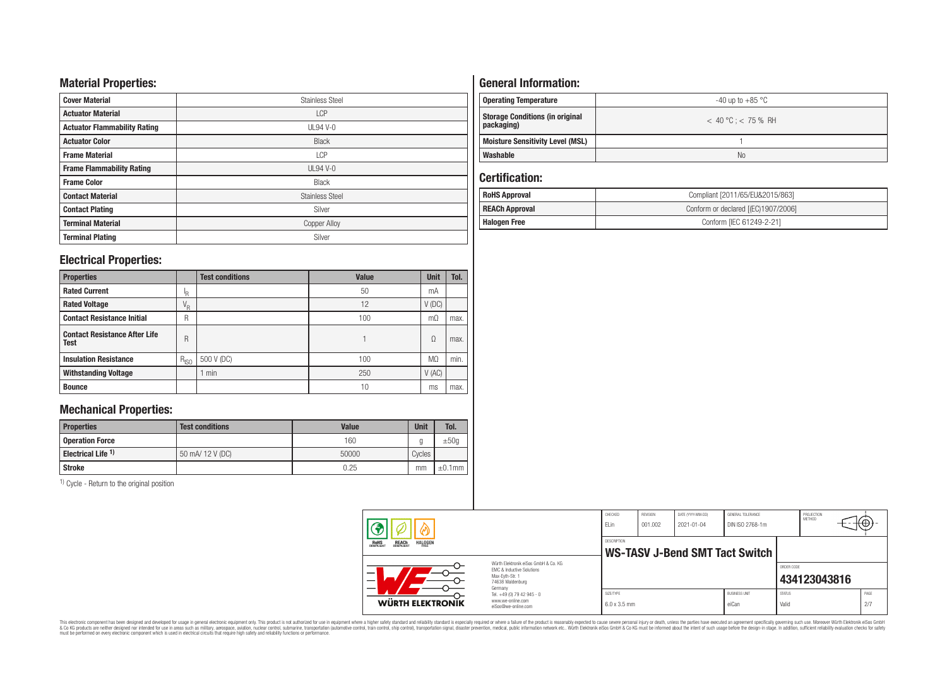## **Material Properties:**

| <b>Cover Material</b>               | <b>Stainless Steel</b> |
|-------------------------------------|------------------------|
| <b>Actuator Material</b>            | <b>LCP</b>             |
| <b>Actuator Flammability Rating</b> | <b>UL94 V-0</b>        |
| <b>Actuator Color</b>               | <b>Black</b>           |
| <b>Frame Material</b>               | <b>LCP</b>             |
| <b>Frame Flammability Rating</b>    | $UL94V-0$              |
| <b>Frame Color</b>                  | Black                  |
| <b>Contact Material</b>             | <b>Stainless Steel</b> |
| <b>Contact Plating</b>              | Silver                 |
| <b>Terminal Material</b>            | <b>Copper Alloy</b>    |
| <b>Terminal Plating</b>             | Silver                 |

## **Electrical Properties:**

| <b>Properties</b>                                   |           | <b>Test conditions</b> | <b>Value</b> | <b>Unit</b>    | Tol. |
|-----------------------------------------------------|-----------|------------------------|--------------|----------------|------|
| <b>Rated Current</b>                                | ΙR        |                        | 50           | mA             |      |
| <b>Rated Voltage</b>                                | $V_R$     |                        | 12           | $V$ (DC)       |      |
| <b>Contact Resistance Initial</b>                   | R         |                        | 100          | mО             | max. |
| <b>Contact Resistance After Life</b><br><b>Test</b> | R         |                        |              | Ω              | max. |
| <b>Insulation Resistance</b>                        | $R_{ISO}$ | 500 V (DC)             | 100          | M <sub>0</sub> | min. |
| <b>Withstanding Voltage</b>                         |           | min                    | 250          | V(AC)          |      |
| <b>Bounce</b>                                       |           |                        | 10           | ms             | max. |

# **Mechanical Properties:**

| <b>Properties</b>             | <b>Test conditions</b> | Value | <b>Unit</b> | Tol.         |
|-------------------------------|------------------------|-------|-------------|--------------|
| <b>Operation Force</b>        |                        | 160   |             | ±50q         |
| Electrical Life <sup>1)</sup> | 50 mA/ 12 V (DC)       | 50000 | Cycles      |              |
| Stroke                        |                        | 0.25  | mm          | $\pm 0.1$ mm |

1) Cycle - Return to the original position

# **General Information:**

| Operating Temperature                                | -40 up to $+85\,^{\circ}\mathrm{C}$ |
|------------------------------------------------------|-------------------------------------|
| <b>Storage Conditions (in original</b><br>packaging) | $< 40 °C$ : $< 75 %$ RH             |
| <b>Moisture Sensitivity Level (MSL)</b>              |                                     |
| Washable                                             | N <sub>0</sub>                      |

## **Certification:**

| <b>RoHS Approval</b>                                         | Compliant [2011/65/EU&2015/863] |  |  |  |
|--------------------------------------------------------------|---------------------------------|--|--|--|
| <b>REACh Approval</b><br>Conform or declared [(EC)1907/2006] |                                 |  |  |  |
| Halogen Free                                                 | Conform [IEC 61249-2-21]        |  |  |  |

|                                                                  |                                                                                                                     | CHECKED<br>ELin                                      | REVISION<br>001.002 | DATE (YYYY-MM-DD)<br>$2021 - 01 - 04$ | GENERAL TOLERANCE<br>DIN ISO 2768-1m |                        | PROJECTION<br>METHOD | ₩           |
|------------------------------------------------------------------|---------------------------------------------------------------------------------------------------------------------|------------------------------------------------------|---------------------|---------------------------------------|--------------------------------------|------------------------|----------------------|-------------|
| <b>REACH</b><br>COMPLIANT<br><b>HALOGEN</b><br>ROHS<br>COMPLIANT |                                                                                                                     | <b>DESCRIPTION</b><br>WS-TASV J-Bend SMT Tact Switch |                     |                                       |                                      |                        |                      |             |
|                                                                  | Würth Elektronik eiSos GmbH & Co. KG<br><b>EMC &amp; Inductive Solutions</b><br>Max-Evth-Str. 1<br>74638 Waldenburg |                                                      |                     |                                       |                                      | ORDER CODE             | 434123043816         |             |
| WÜRTH ELEKTRONIK                                                 | Germany<br>Tel. +49 (0) 79 42 945 - 0<br>www.we-online.com<br>eiSos@we-online.com                                   | SIZE/TYPE<br>$6.0 \times 3.5$ mm                     |                     |                                       | <b>BUSINESS UNIT</b><br>eiCan        | <b>STATUS</b><br>Valid |                      | PAGE<br>2/7 |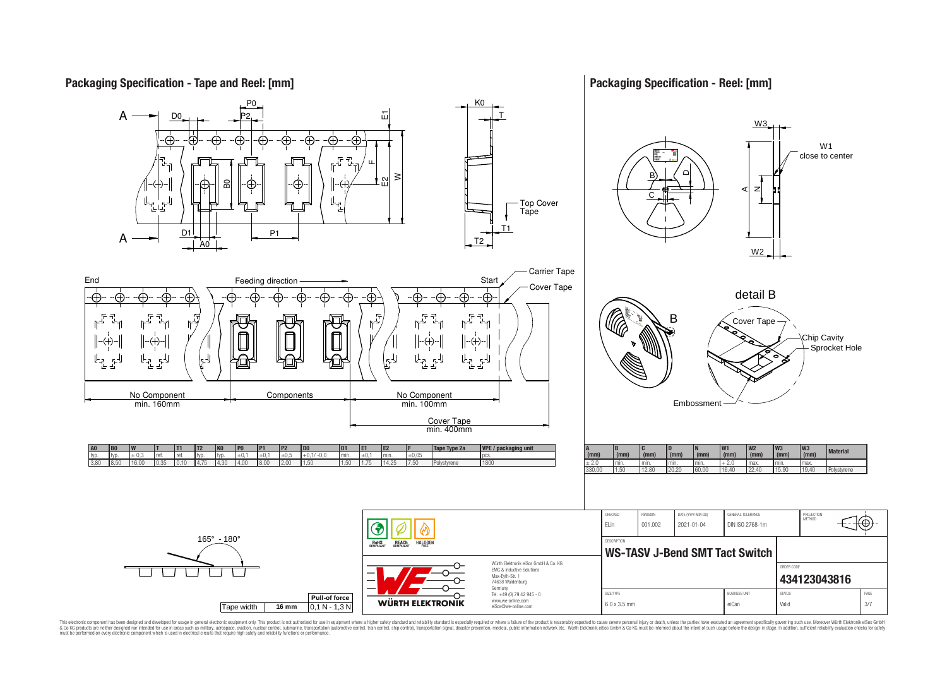## **Packaging Specification - Tape and Reel: [mm]**

## **Packaging Specification - Reel: [mm]**

1⊕

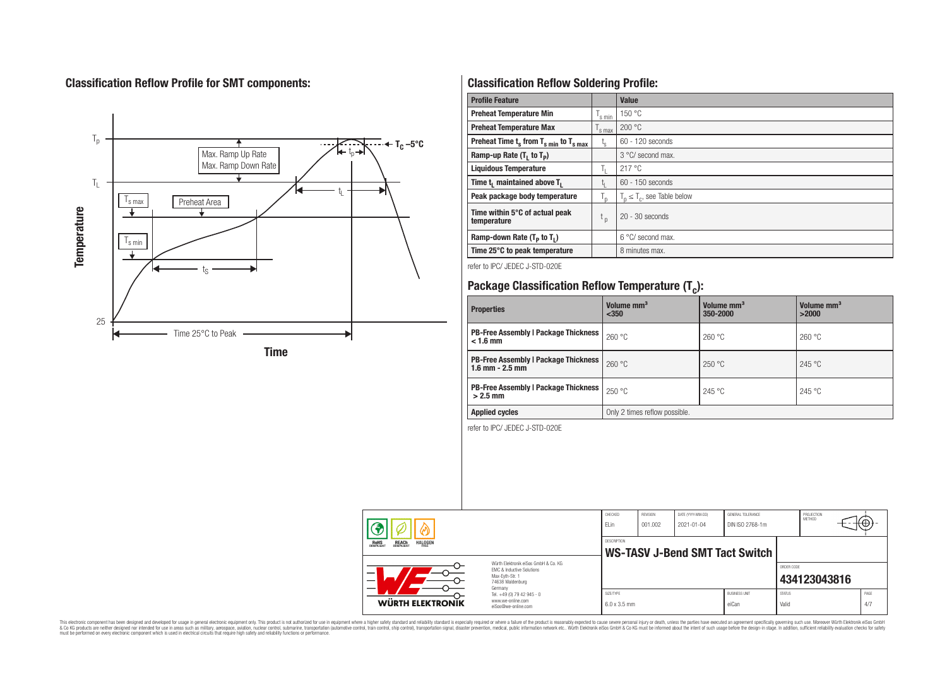# **Classification Reflow Profile for SMT components:**



# **Classification Reflow Soldering Profile:**

| <b>Profile Feature</b>                              |                    | <b>Value</b>                     |
|-----------------------------------------------------|--------------------|----------------------------------|
| <b>Preheat Temperature Min</b>                      | 's min             | 150 °C                           |
| <b>Preheat Temperature Max</b>                      | <sup>I</sup> s max | 200 °C                           |
| Preheat Time $t_s$ from $T_{s,min}$ to $T_{s,max}$  |                    | $60 - 120$ seconds               |
| Ramp-up Rate $(T_1$ to $T_p$ )                      |                    | 3 °C/ second max.                |
| <b>Liquidous Temperature</b>                        | Ъ.                 | 217 °C                           |
| Time t <sub>1</sub> maintained above T <sub>1</sub> | Ţ.                 | 60 - 150 seconds                 |
| Peak package body temperature<br>$T_{p}$            |                    | $T_n \leq T_c$ , see Table below |
| Time within 5°C of actual peak<br>temperature       | $t_{p}$            | $20 - 30$ seconds                |
| Ramp-down Rate $(T_P$ to $T_I$ )                    |                    | $6^{\circ}$ C/ second max.       |
| Time 25°C to peak temperature                       |                    | 8 minutes max.                   |

refer to IPC/ JEDEC J-STD-020E

# **Package Classification Reflow Temperature (T<sup>c</sup> ):**

| <b>Properties</b>                                                  | Volume mm <sup>3</sup><br>< 350 | Volume mm <sup>3</sup><br>350-2000 | Volume mm <sup>3</sup><br>>2000 |  |  |
|--------------------------------------------------------------------|---------------------------------|------------------------------------|---------------------------------|--|--|
| <b>PB-Free Assembly   Package Thickness  </b><br>$< 1.6$ mm        | 260 °C                          | 260 °C                             | 260 °C                          |  |  |
| <b>PB-Free Assembly   Package Thickness</b><br>$1.6$ mm $- 2.5$ mm | 260 °C                          | 250 °C                             | 245 °C                          |  |  |
| <b>PB-Free Assembly   Package Thickness</b><br>$>2.5$ mm           | 250 °C                          | 245 °C                             | 245 °C                          |  |  |
| <b>Applied cycles</b>                                              | Only 2 times reflow possible.   |                                    |                                 |  |  |

refer to IPC/ JEDEC J-STD-020E

|                                                                                 |                                                                                                                     | CHECKED<br><b>ELin</b>           | <b>REVISION</b><br>001.002 | DATE (YYYY-MM-DD)<br>2021-01-04 | GENERAL TOLERANCE<br>DIN ISO 2768-1m |                        | PROJECTION<br><b>MFTHOD</b> |             |
|---------------------------------------------------------------------------------|---------------------------------------------------------------------------------------------------------------------|----------------------------------|----------------------------|---------------------------------|--------------------------------------|------------------------|-----------------------------|-------------|
| <b>REACH</b><br>COMPLIANT<br><b>HALOGEN</b><br><b>ROHS</b><br>COMPLIANT<br>FRFF |                                                                                                                     | <b>DESCRIPTION</b>               |                            |                                 | WS-TASV J-Bend SMT Tact Switch       |                        |                             |             |
| —<br>$\overline{\phantom{0}}$                                                   | Würth Elektronik eiSos GmbH & Co. KG<br>FMC & Inductive Solutions<br>Max-Eyth-Str. 1<br>74638 Waldenburg<br>Germany |                                  |                            |                                 |                                      | ORDER CODE             | 434123043816                |             |
| WÜRTH ELEKTRONIK                                                                | Tel. +49 (0) 79 42 945 - 0<br>www.we-online.com                                                                     | SIZE/TYPE<br>$6.0 \times 3.5$ mm |                            |                                 | <b>BUSINESS UNIT</b><br>eiCan        | <b>STATUS</b><br>Valid |                             | PAGE<br>4/7 |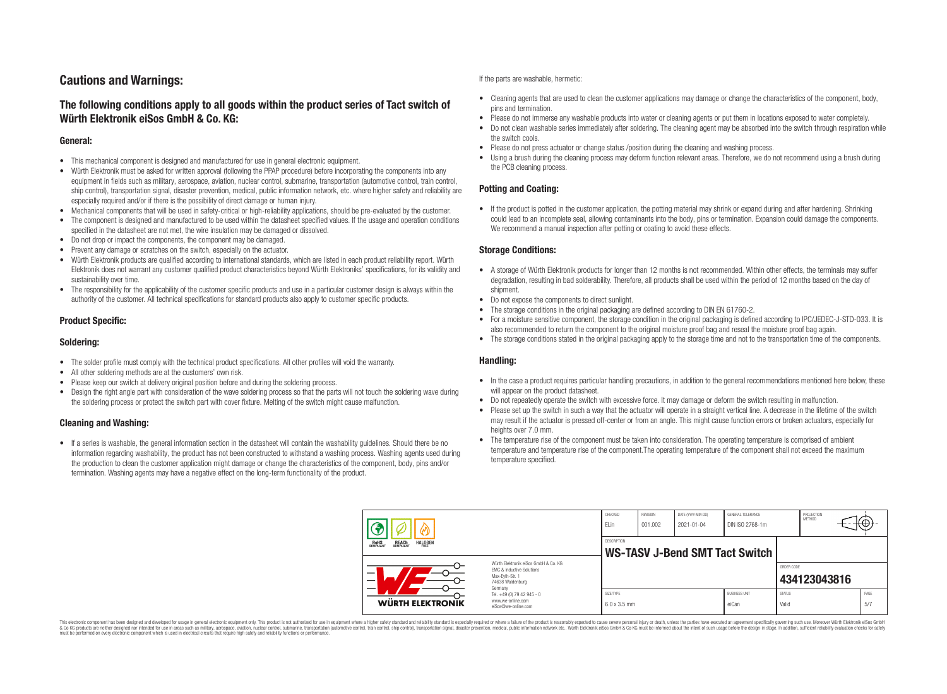# **Cautions and Warnings:**

## **The following conditions apply to all goods within the product series of Tact switch of Würth Elektronik eiSos GmbH & Co. KG:**

#### **General:**

- This mechanical component is designed and manufactured for use in general electronic equipment.
- Würth Elektronik must be asked for written approval (following the PPAP procedure) before incorporating the components into any equipment in fields such as military, aerospace, aviation, nuclear control, submarine, transportation (automotive control, train control, ship control), transportation signal, disaster prevention, medical, public information network, etc. where higher safety and reliability are especially required and/or if there is the possibility of direct damage or human injury.
- Mechanical components that will be used in safety-critical or high-reliability applications, should be pre-evaluated by the customer.
- The component is designed and manufactured to be used within the datasheet specified values. If the usage and operation conditions specified in the datasheet are not met, the wire insulation may be damaged or dissolved.
- Do not drop or impact the components, the component may be damaged.
- Prevent any damage or scratches on the switch, especially on the actuator.
- Würth Elektronik products are qualified according to international standards, which are listed in each product reliability report. Würth Elektronik does not warrant any customer qualified product characteristics beyond Würth Elektroniks' specifications, for its validity and sustainability over time.
- The responsibility for the applicability of the customer specific products and use in a particular customer design is always within the authority of the customer. All technical specifications for standard products also apply to customer specific products.

#### **Product Specific:**

#### **Soldering:**

- The solder profile must comply with the technical product specifications. All other profiles will void the warranty.
- All other soldering methods are at the customers' own risk.
- Please keep our switch at delivery original position before and during the soldering process.
- Design the right angle part with consideration of the wave soldering process so that the parts will not touch the soldering wave during the soldering process or protect the switch part with cover fixture. Melting of the switch might cause malfunction.

#### **Cleaning and Washing:**

• If a series is washable, the general information section in the datasheet will contain the washability guidelines. Should there be no information regarding washability, the product has not been constructed to withstand a washing process. Washing agents used during the production to clean the customer application might damage or change the characteristics of the component, body, pins and/or termination. Washing agents may have a negative effect on the long-term functionality of the product.

If the parts are washable, hermetic:

- Cleaning agents that are used to clean the customer applications may damage or change the characteristics of the component, body, pins and termination.
- Please do not immerse any washable products into water or cleaning agents or put them in locations exposed to water completely.
- Do not clean washable series immediately after soldering. The cleaning agent may be absorbed into the switch through respiration while the switch cools.
- Please do not press actuator or change status /position during the cleaning and washing process.
- Using a brush during the cleaning process may deform function relevant areas. Therefore, we do not recommend using a brush during the PCB cleaning process.

#### **Potting and Coating:**

• If the product is potted in the customer application, the potting material may shrink or expand during and after hardening. Shrinking could lead to an incomplete seal, allowing contaminants into the body, pins or termination. Expansion could damage the components. We recommend a manual inspection after potting or coating to avoid these effects.

#### **Storage Conditions:**

- A storage of Würth Elektronik products for longer than 12 months is not recommended. Within other effects, the terminals may suffer degradation, resulting in bad solderability. Therefore, all products shall be used within the period of 12 months based on the day of shipment.
- Do not expose the components to direct sunlight.
- The storage conditions in the original packaging are defined according to DIN EN 61760-2.
- For a moisture sensitive component, the storage condition in the original packaging is defined according to IPC/JEDEC-J-STD-033. It is also recommended to return the component to the original moisture proof bag and reseal the moisture proof bag again.
- The storage conditions stated in the original packaging apply to the storage time and not to the transportation time of the components.

#### **Handling:**

- In the case a product requires particular handling precautions, in addition to the general recommendations mentioned here below, these will appear on the product datasheet.
- Do not repeatedly operate the switch with excessive force. It may damage or deform the switch resulting in malfunction.
- Please set up the switch in such a way that the actuator will operate in a straight vertical line. A decrease in the lifetime of the switch may result if the actuator is pressed off-center or from an angle. This might cause function errors or broken actuators, especially for heights over 7.0 mm.
- The temperature rise of the component must be taken into consideration. The operating temperature is comprised of ambient temperature and temperature rise of the component.The operating temperature of the component shall not exceed the maximum temperature specified.

|                                                                          |                                                                                                                                | CHECKED<br><b>ELin</b>           | <b>REVISION</b><br>001.002 | DATE (YYYY-MM-DD)<br>2021-01-04 | <b>GENERAL TOLERANCE</b><br>DIN ISO 2768-1m |                        | PROJECTION<br>METHOD | t⊕)         |
|--------------------------------------------------------------------------|--------------------------------------------------------------------------------------------------------------------------------|----------------------------------|----------------------------|---------------------------------|---------------------------------------------|------------------------|----------------------|-------------|
| ROHS<br>COMPLIANT<br><b>REACH</b><br>COMPLIANT<br><b>HALOGEN</b><br>FRFF |                                                                                                                                | <b>DESCRIPTION</b>               |                            |                                 | WS-TASV J-Bend SMT Tact Switch              |                        |                      |             |
|                                                                          | Würth Elektronik eiSos GmbH & Co. KG<br><b>EMC &amp; Inductive Solutions</b><br>Max-Evth-Str. 1<br>74638 Waldenburg<br>Germany |                                  |                            |                                 |                                             | ORDER CODE             | 434123043816         |             |
| WÜRTH ELEKTRONIK                                                         | Tel. +49 (0) 79 42 945 - 0<br>www.we-online.com<br>eiSos@we-online.com                                                         | SIZE/TYPE<br>$6.0 \times 3.5$ mm |                            |                                 | <b>BUSINESS UNIT</b><br>eiCan               | <b>STATUS</b><br>Valid |                      | PAGE<br>5/7 |

This electronic component has been designed and developed for usage in general electronic equipment only. This product is not authorized for use in equipment where a higher safety standard and reliability standard is espec & Ook product a label and the membed of the seasuch as marked and as which such a membed and the such assume that income in the seasuch and the simulation and the such assume that include to the such a membed and the such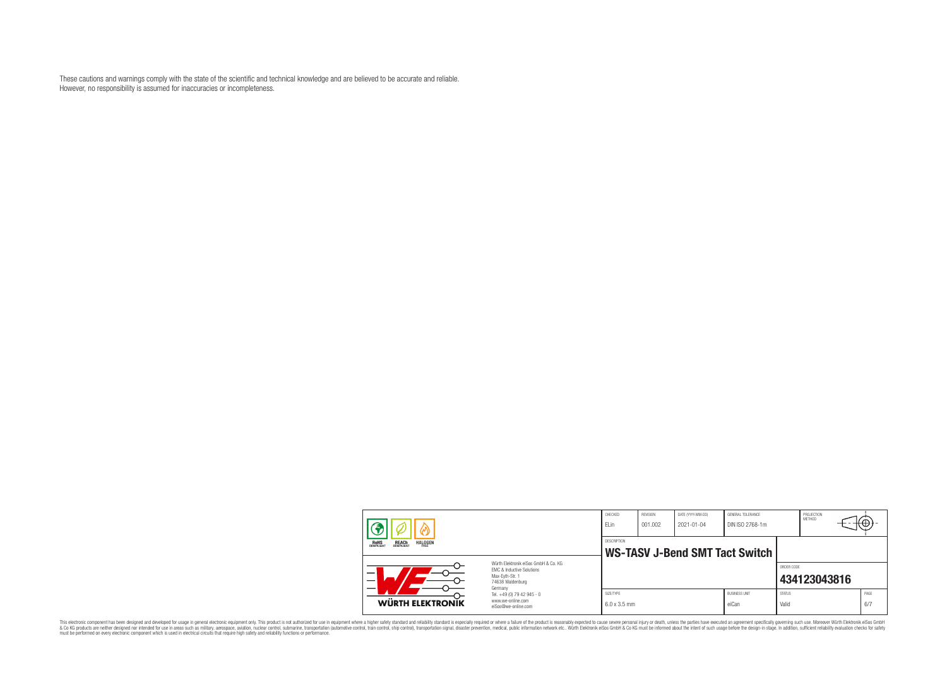These cautions and warnings comply with the state of the scientific and technical knowledge and are believed to be accurate and reliable. However, no responsibility is assumed for inaccuracies or incompleteness.

| <b>REACH</b><br>COMPLIANT<br><b>ROHS</b><br><b>HALOGEN</b><br>FRFF |                                                                                                                                                                                               | CHECKED<br>ELin                  | REVISION<br>001.002            | DATE (YYYY-MM-DD)<br>$2021 - 01 - 04$ | GENERAL TOLERANCE<br>DIN ISO 2768-1m |                        | PROJECTION<br><b>METHOD</b> | €⊕          |
|--------------------------------------------------------------------|-----------------------------------------------------------------------------------------------------------------------------------------------------------------------------------------------|----------------------------------|--------------------------------|---------------------------------------|--------------------------------------|------------------------|-----------------------------|-------------|
|                                                                    |                                                                                                                                                                                               | DESCRIPTION                      | WS-TASV J-Bend SMT Tact Switch |                                       |                                      |                        |                             |             |
| $\equiv$<br>$\overline{\phantom{0}}$                               | Würth Flektronik eiSos GmbH & Co. KG<br>FMC & Inductive Solutions<br>Max-Evth-Str. 1<br>74638 Waldenburg<br>Germany<br>Tel. +49 (0) 79 42 945 - 0<br>www.we-online.com<br>eiSos@we-online.com |                                  |                                |                                       |                                      | ORDER CODE             | 434123043816                |             |
| WÜRTH ELEKTRONIK                                                   |                                                                                                                                                                                               | SIZE/TYPE<br>$6.0 \times 3.5$ mm |                                |                                       | <b>BUSINESS UNIT</b><br>eiCan        | <b>STATUS</b><br>Valid |                             | PAGE<br>6/7 |